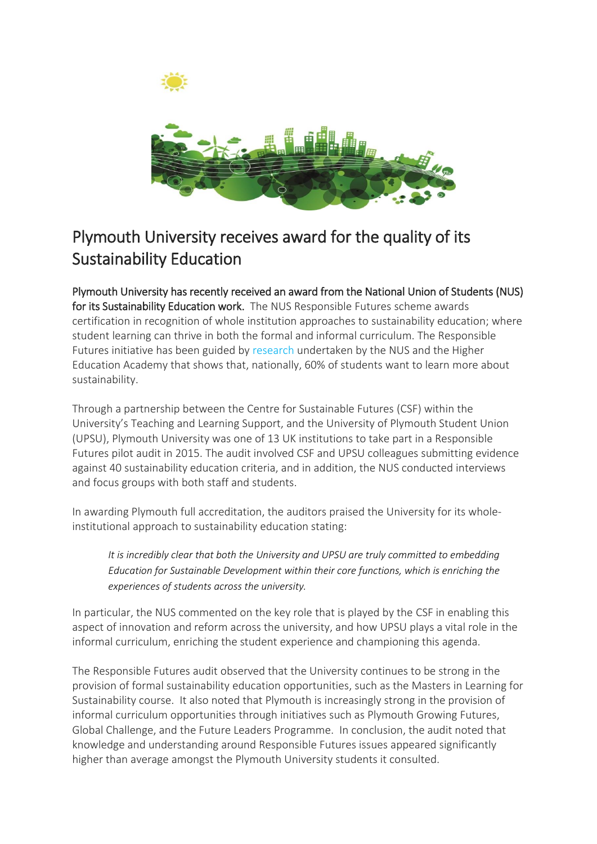

## Plymouth University receives award for the quality of its Sustainability Education

Plymouth University has recently received an award from the National Union of Students (NUS) for its Sustainability Education work. The NUS [Responsible Futures](http://sustainability.unioncloud.org/responsible-futures/about) scheme awards certification in recognition of whole institution approaches to sustainability education; where student learning can thrive in both the formal and informal curriculum. The Responsible Futures initiative has been guided by [research](http://www.heacademy.ac.uk/node/10189) undertaken by the NUS and the Higher Education Academy that shows that, nationally, 60% of students want to learn more about sustainability.

Through a partnership between the Centre for Sustainable Futures (CSF) within the University's Teaching and Learning Support, and the University of Plymouth Student Union (UPSU), Plymouth University was one of 13 UK institutions to take part in a Responsible Futures pilot audit in 2015. The audit involved CSF and UPSU colleagues submitting evidence against 40 sustainability education criteria, and in addition, the NUS conducted interviews and focus groups with both staff and students.

In awarding Plymouth full accreditation, the auditors praised the University for its wholeinstitutional approach to sustainability education stating:

*It is incredibly clear that both the University and UPSU are truly committed to embedding Education for Sustainable Development within their core functions, which is enriching the experiences of students across the university.*

In particular, the NUS commented on the key role that is played by the CSF in enabling this aspect of innovation and reform across the university, and how UPSU plays a vital role in the informal curriculum, enriching the student experience and championing this agenda.

The Responsible Futures audit observed that the University continues to be strong in the provision of formal sustainability education opportunities, such as the Masters in Learning for Sustainability course. It also noted that Plymouth is increasingly strong in the provision of informal curriculum opportunities through initiatives such as Plymouth Growing Futures, Global Challenge, and the Future Leaders Programme. In conclusion, the audit noted that knowledge and understanding around Responsible Futures issues appeared significantly higher than average amongst the Plymouth University students it consulted.